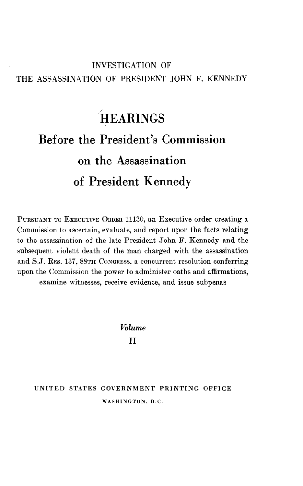## INVESTIGATION OF THE ASSASSINATION OF PRESIDENT JOHN F. KENNEDY

## HEARINGS<sup>®</sup> Before the President's Commission on the Assassination of President Kennedy

PURSUANT TO EXECUTIVE ORDER 11130, an Executive order creating a Commission to ascertain, evaluate, and report upon the facts relating to the assassination of the late President John F. Kennedy and the subsequent violent death of the man charged with the assassination and S.J. RES. 137, 88TH CONGRESS, a concurrent resolution conferring upon the Commission the power to administer oaths and affirmations, examine witnesses, receive evidence, and issue subpenas

> Volume II

## UNITED STATES GOVERNMENT PRINTING OFFICE WASHINGT0N.D.C.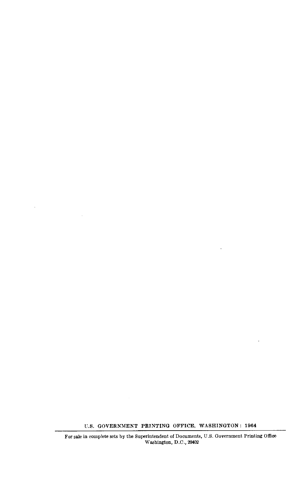U.S. GOVERNMEKT PRINTING OFFICE, WASHINGTON : 1964

 $\ddot{\phantom{0}}$ 

 $\epsilon$ 

For sale in complete sets by the Superintendent of Documents, U.S. Government Printing Office